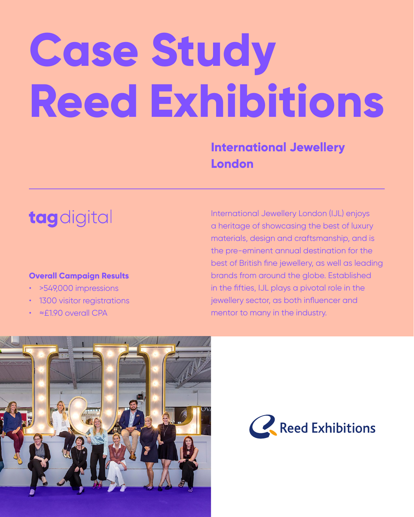# **Case Study Reed Exhibitions**

International Jewellery London (IJL) enjoys a heritage of showcasing the best of luxury materials, design and craftsmanship, and is the pre-eminent annual destination for the best of British fine jewellery, as well as leading brands from around the globe. Established in the fifties, IJL plays a pivotal role in the jewellery sector, as both influencer and mentor to many in the industry.





**International Jewellery London**

# tagdigital

#### **Overall Campaign Results**

- >549,000 impressions
- 1300 visitor registrations
- ≈£1.90 overall CPA